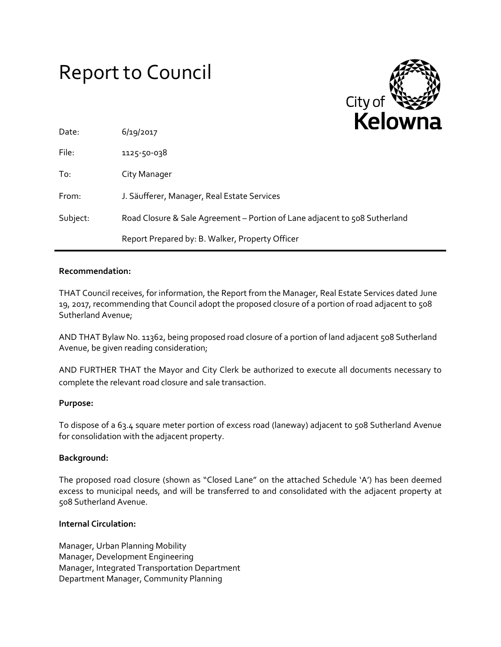# Report to Council



| Date:    | 6/19/2017                                                                  | . |
|----------|----------------------------------------------------------------------------|---|
| File:    | 1125-50-038                                                                |   |
| To:      | City Manager                                                               |   |
| From:    | J. Säufferer, Manager, Real Estate Services                                |   |
| Subject: | Road Closure & Sale Agreement – Portion of Lane adjacent to 508 Sutherland |   |
|          | Report Prepared by: B. Walker, Property Officer                            |   |

### **Recommendation:**

THAT Council receives, for information, the Report from the Manager, Real Estate Services dated June 19, 2017, recommending that Council adopt the proposed closure of a portion of road adjacent to 508 Sutherland Avenue;

AND THAT Bylaw No. 11362, being proposed road closure of a portion of land adjacent 508 Sutherland Avenue, be given reading consideration;

AND FURTHER THAT the Mayor and City Clerk be authorized to execute all documents necessary to complete the relevant road closure and sale transaction.

#### **Purpose:**

To dispose of a 63.4 square meter portion of excess road (laneway) adjacent to 508 Sutherland Avenue for consolidation with the adjacent property.

#### **Background:**

The proposed road closure (shown as "Closed Lane" on the attached Schedule 'A') has been deemed excess to municipal needs, and will be transferred to and consolidated with the adjacent property at 508 Sutherland Avenue.

#### **Internal Circulation:**

Manager, Urban Planning Mobility Manager, Development Engineering Manager, Integrated Transportation Department Department Manager, Community Planning